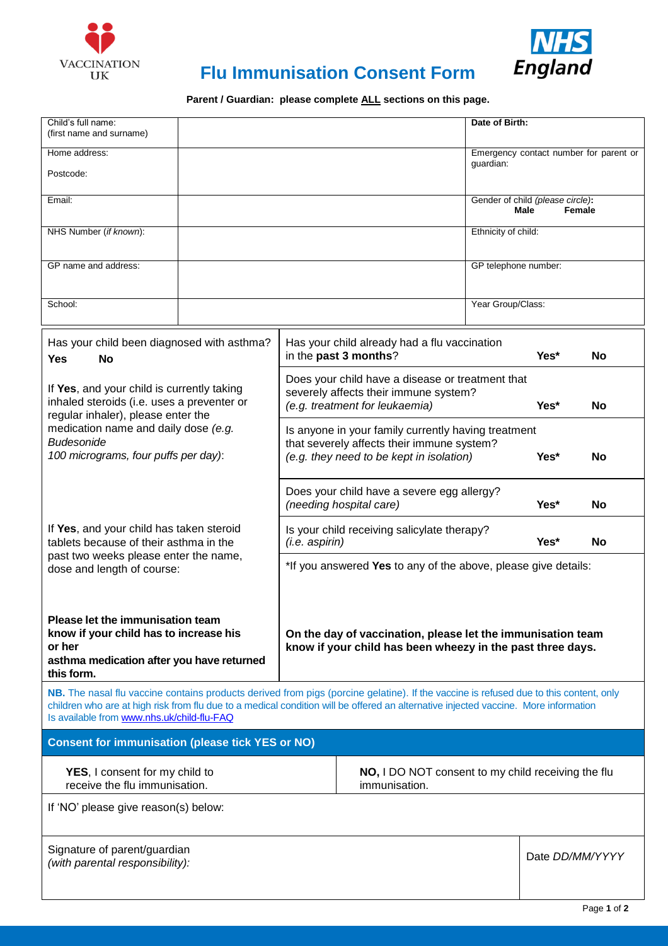



# **Flu Immunisation Consent Form**

Parent / Guardian: please complete ALL sections on this page.

| Child's full name:<br>(first name and surname)                                                                                                                                                                                                                                                                             |  |                                                                                                   |                                                             | Date of Birth:                           |           |                                        |
|----------------------------------------------------------------------------------------------------------------------------------------------------------------------------------------------------------------------------------------------------------------------------------------------------------------------------|--|---------------------------------------------------------------------------------------------------|-------------------------------------------------------------|------------------------------------------|-----------|----------------------------------------|
| Home address:                                                                                                                                                                                                                                                                                                              |  |                                                                                                   |                                                             |                                          |           | Emergency contact number for parent or |
| Postcode:                                                                                                                                                                                                                                                                                                                  |  |                                                                                                   |                                                             | guardian:                                |           |                                        |
| Email:                                                                                                                                                                                                                                                                                                                     |  |                                                                                                   |                                                             | Gender of child (please circle):<br>Male |           | Female                                 |
| NHS Number (if known):                                                                                                                                                                                                                                                                                                     |  |                                                                                                   |                                                             | Ethnicity of child:                      |           |                                        |
| GP name and address:                                                                                                                                                                                                                                                                                                       |  |                                                                                                   |                                                             | GP telephone number:                     |           |                                        |
|                                                                                                                                                                                                                                                                                                                            |  |                                                                                                   |                                                             |                                          |           |                                        |
| School:                                                                                                                                                                                                                                                                                                                    |  |                                                                                                   |                                                             | Year Group/Class:                        |           |                                        |
| Has your child been diagnosed with asthma?<br><b>Yes</b><br><b>No</b>                                                                                                                                                                                                                                                      |  | Has your child already had a flu vaccination<br>in the past 3 months?                             |                                                             |                                          | Yes*      | No.                                    |
| If Yes, and your child is currently taking<br>inhaled steroids (i.e. uses a preventer or<br>regular inhaler), please enter the<br>medication name and daily dose (e.g.<br><b>Budesonide</b><br>100 micrograms, four puffs per day):                                                                                        |  | Does your child have a disease or treatment that<br>severely affects their immune system?         |                                                             |                                          |           |                                        |
|                                                                                                                                                                                                                                                                                                                            |  |                                                                                                   | (e.g. treatment for leukaemia)                              |                                          | Yes*      | <b>No</b>                              |
|                                                                                                                                                                                                                                                                                                                            |  | Is anyone in your family currently having treatment<br>that severely affects their immune system? |                                                             |                                          |           |                                        |
|                                                                                                                                                                                                                                                                                                                            |  | (e.g. they need to be kept in isolation)                                                          |                                                             | Yes*                                     | <b>No</b> |                                        |
| If Yes, and your child has taken steroid<br>tablets because of their asthma in the<br>past two weeks please enter the name,<br>dose and length of course:                                                                                                                                                                  |  | Does your child have a severe egg allergy?<br>(needing hospital care)                             |                                                             |                                          | Yes*      | <b>No</b>                              |
|                                                                                                                                                                                                                                                                                                                            |  | Is your child receiving salicylate therapy?<br>(i.e. aspirin)                                     |                                                             |                                          | Yes*      | <b>No</b>                              |
|                                                                                                                                                                                                                                                                                                                            |  | *If you answered Yes to any of the above, please give details:                                    |                                                             |                                          |           |                                        |
|                                                                                                                                                                                                                                                                                                                            |  |                                                                                                   |                                                             |                                          |           |                                        |
| Please let the immunisation team<br>know if your child has to increase his                                                                                                                                                                                                                                                 |  |                                                                                                   | On the day of vaccination, please let the immunisation team |                                          |           |                                        |
| or her<br>asthma medication after you have returned                                                                                                                                                                                                                                                                        |  |                                                                                                   | know if your child has been wheezy in the past three days.  |                                          |           |                                        |
| this form.                                                                                                                                                                                                                                                                                                                 |  |                                                                                                   |                                                             |                                          |           |                                        |
| NB. The nasal flu vaccine contains products derived from pigs (porcine gelatine). If the vaccine is refused due to this content, only<br>children who are at high risk from flu due to a medical condition will be offered an alternative injected vaccine. More information<br>Is available from www.nhs.uk/child-flu-FAQ |  |                                                                                                   |                                                             |                                          |           |                                        |
| <b>Consent for immunisation (please tick YES or NO)</b>                                                                                                                                                                                                                                                                    |  |                                                                                                   |                                                             |                                          |           |                                        |
| YES, I consent for my child to<br>receive the flu immunisation.                                                                                                                                                                                                                                                            |  | NO, I DO NOT consent to my child receiving the flu<br>immunisation.                               |                                                             |                                          |           |                                        |
| If 'NO' please give reason(s) below:                                                                                                                                                                                                                                                                                       |  |                                                                                                   |                                                             |                                          |           |                                        |
|                                                                                                                                                                                                                                                                                                                            |  |                                                                                                   |                                                             |                                          |           |                                        |
| Signature of parent/guardian<br>(with parental responsibility):                                                                                                                                                                                                                                                            |  |                                                                                                   |                                                             |                                          |           | Date DD/MM/YYYY                        |
|                                                                                                                                                                                                                                                                                                                            |  |                                                                                                   |                                                             |                                          |           |                                        |
|                                                                                                                                                                                                                                                                                                                            |  |                                                                                                   |                                                             |                                          |           | Page 1 of 2                            |